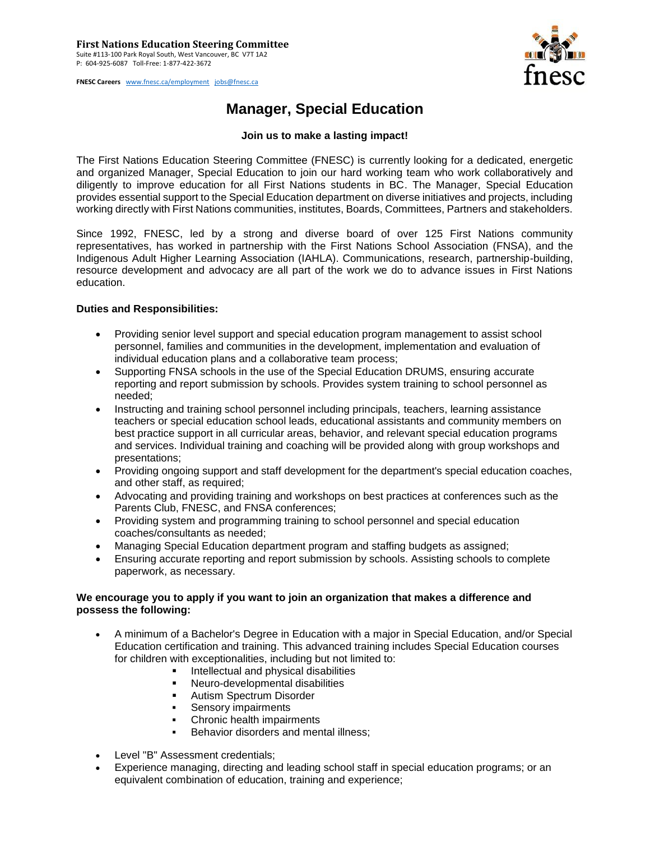**FNESC Careers** [www.fnesc.ca/employment](http://www.fnesc.ca/employment) [jobs@fnesc.ca](mailto:jobs@fnesc.ca) 



# **Manager, Special Education**

## **Join us to make a lasting impact!**

The First Nations Education Steering Committee (FNESC) is currently looking for a dedicated, energetic and organized Manager, Special Education to join our hard working team who work collaboratively and diligently to improve education for all First Nations students in BC. The Manager, Special Education provides essential support to the Special Education department on diverse initiatives and projects, including working directly with First Nations communities, institutes, Boards, Committees, Partners and stakeholders.

Since 1992, FNESC, led by a strong and diverse board of over 125 First Nations community representatives, has worked in partnership with the First Nations School Association (FNSA), and the Indigenous Adult Higher Learning Association (IAHLA). Communications, research, partnership-building, resource development and advocacy are all part of the work we do to advance issues in First Nations education.

### **Duties and Responsibilities:**

- Providing senior level support and special education program management to assist school personnel, families and communities in the development, implementation and evaluation of individual education plans and a collaborative team process;
- Supporting FNSA schools in the use of the Special Education DRUMS, ensuring accurate reporting and report submission by schools. Provides system training to school personnel as needed;
- Instructing and training school personnel including principals, teachers, learning assistance teachers or special education school leads, educational assistants and community members on best practice support in all curricular areas, behavior, and relevant special education programs and services. Individual training and coaching will be provided along with group workshops and presentations;
- Providing ongoing support and staff development for the department's special education coaches, and other staff, as required;
- Advocating and providing training and workshops on best practices at conferences such as the Parents Club, FNESC, and FNSA conferences;
- Providing system and programming training to school personnel and special education coaches/consultants as needed;
- Managing Special Education department program and staffing budgets as assigned;
- Ensuring accurate reporting and report submission by schools. Assisting schools to complete paperwork, as necessary.

## **We encourage you to apply if you want to join an organization that makes a difference and possess the following:**

- A minimum of a Bachelor's Degree in Education with a major in Special Education, and/or Special Education certification and training. This advanced training includes Special Education courses for children with exceptionalities, including but not limited to:
	- Intellectual and physical disabilities
	- Neuro-developmental disabilities
	- Autism Spectrum Disorder
	- Sensory impairments
	- Chronic health impairments
	- Behavior disorders and mental illness;
- Level "B" Assessment credentials;
- Experience managing, directing and leading school staff in special education programs; or an equivalent combination of education, training and experience;